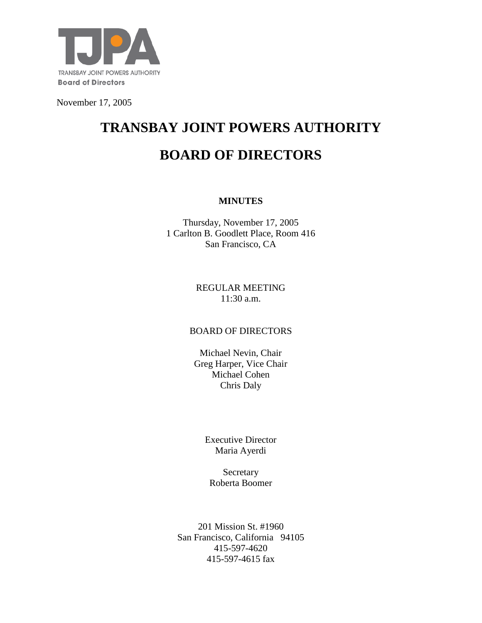

November 17, 2005

# **TRANSBAY JOINT POWERS AUTHORITY BOARD OF DIRECTORS**

## **MINUTES**

Thursday, November 17, 2005 1 Carlton B. Goodlett Place, Room 416 San Francisco, CA

> REGULAR MEETING 11:30 a.m.

## BOARD OF DIRECTORS

Michael Nevin, Chair Greg Harper, Vice Chair Michael Cohen Chris Daly

> Executive Director Maria Ayerdi

**Secretary** Roberta Boomer

201 Mission St. #1960 San Francisco, California 94105 415-597-4620 415-597-4615 fax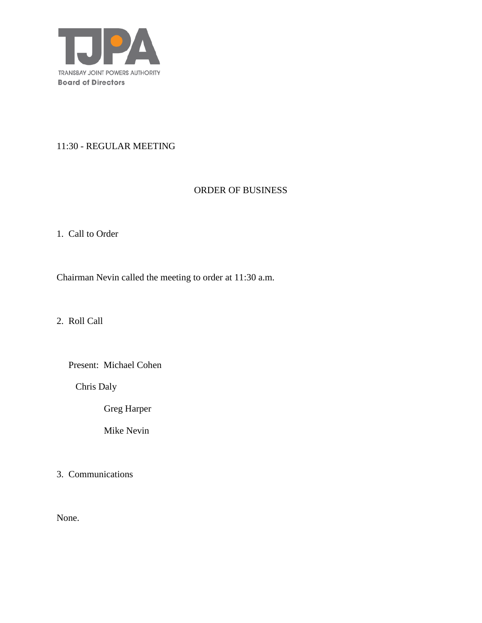

# 11:30 - REGULAR MEETING

# ORDER OF BUSINESS

## 1. Call to Order

Chairman Nevin called the meeting to order at 11:30 a.m.

2. Roll Call

Present: Michael Cohen

Chris Daly

Greg Harper

Mike Nevin

3. Communications

None.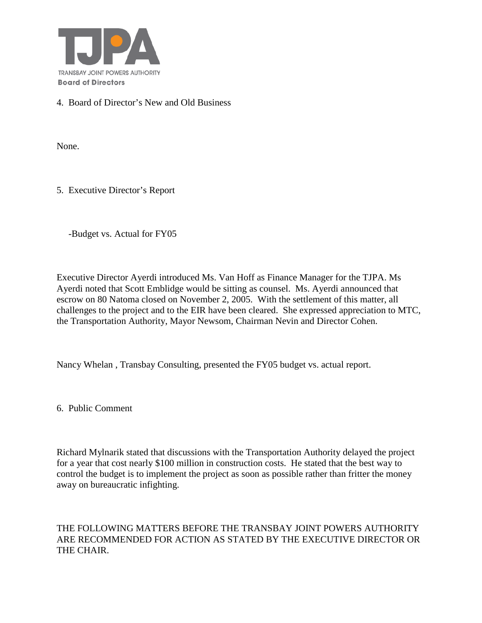

4. Board of Director's New and Old Business

None.

5. Executive Director's Report

-Budget vs. Actual for FY05

Executive Director Ayerdi introduced Ms. Van Hoff as Finance Manager for the TJPA. Ms Ayerdi noted that Scott Emblidge would be sitting as counsel. Ms. Ayerdi announced that escrow on 80 Natoma closed on November 2, 2005. With the settlement of this matter, all challenges to the project and to the EIR have been cleared. She expressed appreciation to MTC, the Transportation Authority, Mayor Newsom, Chairman Nevin and Director Cohen.

Nancy Whelan , Transbay Consulting, presented the FY05 budget vs. actual report.

6. Public Comment

Richard Mylnarik stated that discussions with the Transportation Authority delayed the project for a year that cost nearly \$100 million in construction costs. He stated that the best way to control the budget is to implement the project as soon as possible rather than fritter the money away on bureaucratic infighting.

## THE FOLLOWING MATTERS BEFORE THE TRANSBAY JOINT POWERS AUTHORITY ARE RECOMMENDED FOR ACTION AS STATED BY THE EXECUTIVE DIRECTOR OR THE CHAIR.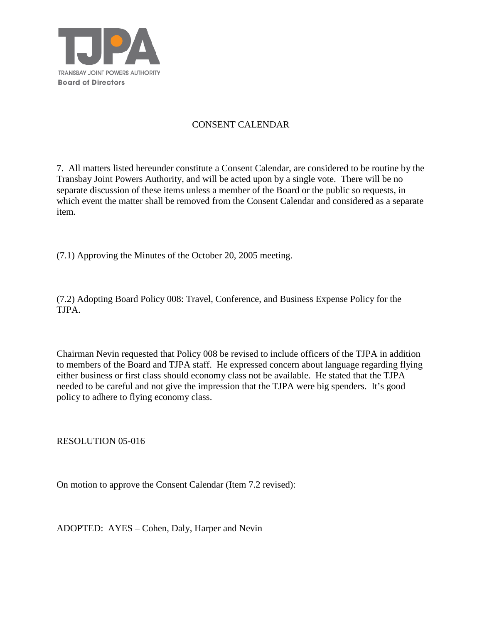

# CONSENT CALENDAR

7. All matters listed hereunder constitute a Consent Calendar, are considered to be routine by the Transbay Joint Powers Authority, and will be acted upon by a single vote. There will be no separate discussion of these items unless a member of the Board or the public so requests, in which event the matter shall be removed from the Consent Calendar and considered as a separate item.

(7.1) Approving the Minutes of the October 20, 2005 meeting.

(7.2) Adopting Board Policy 008: Travel, Conference, and Business Expense Policy for the TJPA.

Chairman Nevin requested that Policy 008 be revised to include officers of the TJPA in addition to members of the Board and TJPA staff. He expressed concern about language regarding flying either business or first class should economy class not be available. He stated that the TJPA needed to be careful and not give the impression that the TJPA were big spenders. It's good policy to adhere to flying economy class.

RESOLUTION 05-016

On motion to approve the Consent Calendar (Item 7.2 revised):

ADOPTED: AYES – Cohen, Daly, Harper and Nevin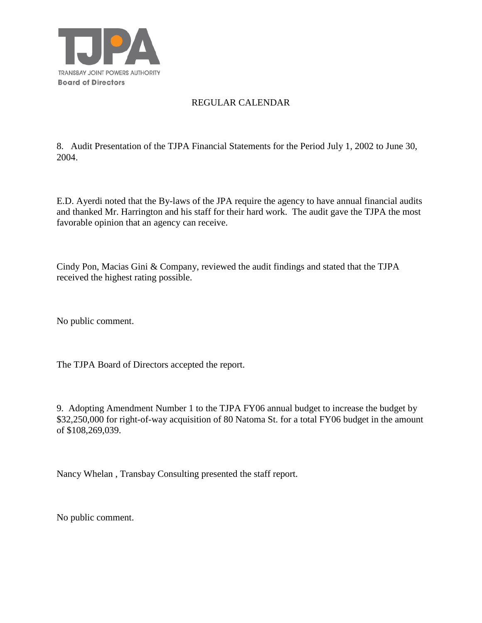

# REGULAR CALENDAR

8. Audit Presentation of the TJPA Financial Statements for the Period July 1, 2002 to June 30, 2004.

E.D. Ayerdi noted that the By-laws of the JPA require the agency to have annual financial audits and thanked Mr. Harrington and his staff for their hard work. The audit gave the TJPA the most favorable opinion that an agency can receive.

Cindy Pon, Macias Gini & Company, reviewed the audit findings and stated that the TJPA received the highest rating possible.

No public comment.

The TJPA Board of Directors accepted the report.

9. Adopting Amendment Number 1 to the TJPA FY06 annual budget to increase the budget by \$32,250,000 for right-of-way acquisition of 80 Natoma St. for a total FY06 budget in the amount of \$108,269,039.

Nancy Whelan , Transbay Consulting presented the staff report.

No public comment.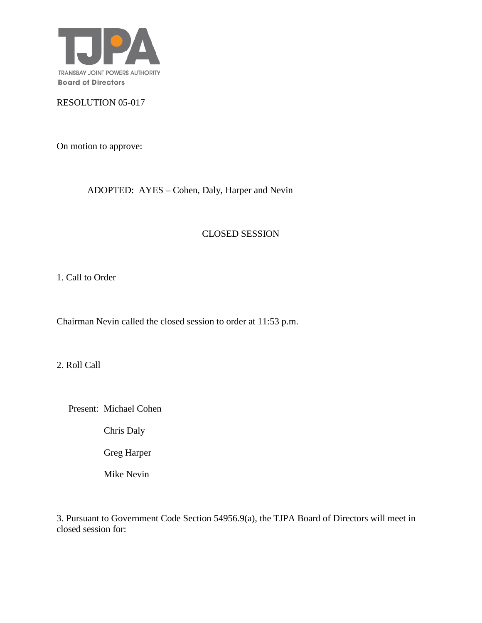

#### RESOLUTION 05-017

On motion to approve:

# ADOPTED: AYES – Cohen, Daly, Harper and Nevin

## CLOSED SESSION

1. Call to Order

Chairman Nevin called the closed session to order at 11:53 p.m.

2. Roll Call

Present: Michael Cohen

Chris Daly

Greg Harper

Mike Nevin

3. Pursuant to Government Code Section 54956.9(a), the TJPA Board of Directors will meet in closed session for: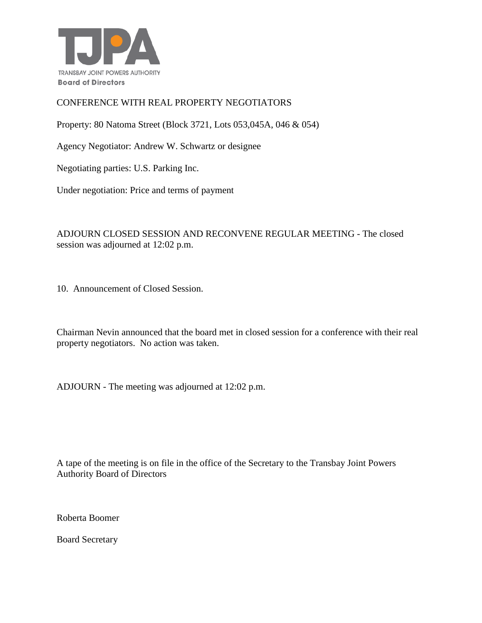

# CONFERENCE WITH REAL PROPERTY NEGOTIATORS

Property: 80 Natoma Street (Block 3721, Lots 053,045A, 046 & 054)

Agency Negotiator: Andrew W. Schwartz or designee

Negotiating parties: U.S. Parking Inc.

Under negotiation: Price and terms of payment

ADJOURN CLOSED SESSION AND RECONVENE REGULAR MEETING - The closed session was adjourned at 12:02 p.m.

10. Announcement of Closed Session.

Chairman Nevin announced that the board met in closed session for a conference with their real property negotiators. No action was taken.

ADJOURN - The meeting was adjourned at 12:02 p.m.

A tape of the meeting is on file in the office of the Secretary to the Transbay Joint Powers Authority Board of Directors

Roberta Boomer

Board Secretary